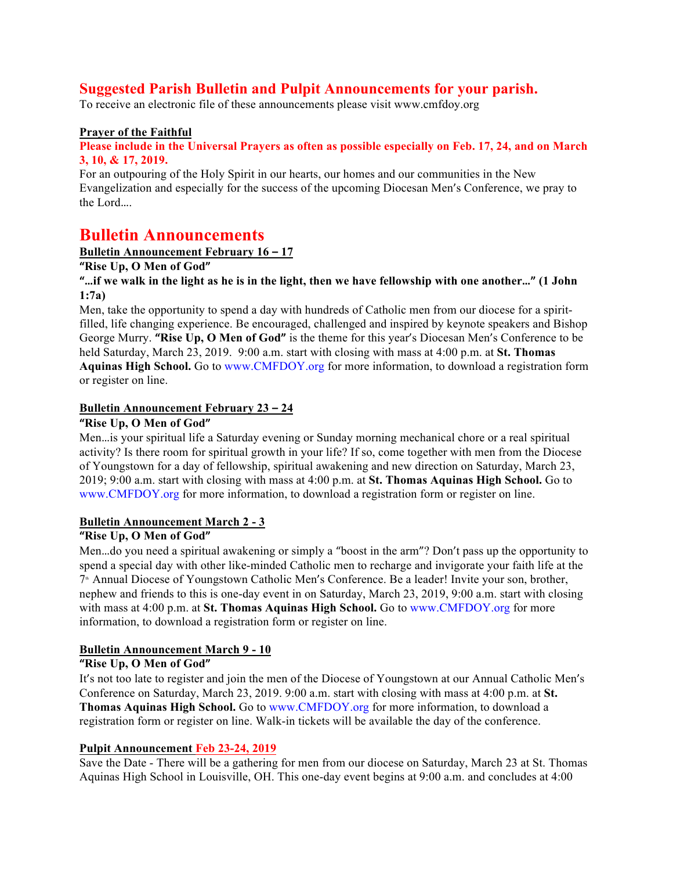# **Suggested Parish Bulletin and Pulpit Announcements for your parish.**

To receive an electronic file of these announcements please visit www.cmfdoy.org

#### **Prayer of the Faithful**

#### **Please include in the Universal Prayers as often as possible especially on Feb. 17, 24, and on March 3, 10, & 17, 2019.**

For an outpouring of the Holy Spirit in our hearts, our homes and our communities in the New Evangelization and especially for the success of the upcoming Diocesan Men's Conference, we pray to the Lord….

# **Bulletin Announcements**

# **Bulletin Announcement February 16 – 17**

**"Rise Up, O Men of God"**

#### **"…if we walk in the light as he is in the light, then we have fellowship with one another…" (1 John 1:7a)**

Men, take the opportunity to spend a day with hundreds of Catholic men from our diocese for a spiritfilled, life changing experience. Be encouraged, challenged and inspired by keynote speakers and Bishop George Murry. **"Rise Up, O Men of God"** is the theme for this year's Diocesan Men's Conference to be held Saturday, March 23, 2019. 9:00 a.m. start with closing with mass at 4:00 p.m. at **St. Thomas Aquinas High School.** Go to www.CMFDOY.org for more information, to download a registration form or register on line.

# **Bulletin Announcement February 23 – 24**

#### **"Rise Up, O Men of God"**

Men…is your spiritual life a Saturday evening or Sunday morning mechanical chore or a real spiritual activity? Is there room for spiritual growth in your life? If so, come together with men from the Diocese of Youngstown for a day of fellowship, spiritual awakening and new direction on Saturday, March 23, 2019; 9:00 a.m. start with closing with mass at 4:00 p.m. at **St. Thomas Aquinas High School.** Go to www.CMFDOY.org for more information, to download a registration form or register on line.

#### **Bulletin Announcement March 2 - 3**

## **"Rise Up, O Men of God"**

Men…do you need a spiritual awakening or simply a "boost in the arm"? Don't pass up the opportunity to spend a special day with other like-minded Catholic men to recharge and invigorate your faith life at the 7<sup>th</sup> Annual Diocese of Youngstown Catholic Men's Conference. Be a leader! Invite your son, brother, nephew and friends to this is one-day event in on Saturday, March 23, 2019, 9:00 a.m. start with closing with mass at 4:00 p.m. at **St. Thomas Aquinas High School.** Go to www.CMFDOY.org for more information, to download a registration form or register on line.

#### **Bulletin Announcement March 9 - 10**

#### **"Rise Up, O Men of God"**

It's not too late to register and join the men of the Diocese of Youngstown at our Annual Catholic Men's Conference on Saturday, March 23, 2019. 9:00 a.m. start with closing with mass at 4:00 p.m. at **St. Thomas Aquinas High School.** Go to www.CMFDOY.org for more information, to download a registration form or register on line. Walk-in tickets will be available the day of the conference.

# **Pulpit Announcement Feb 23-24, 2019**

Save the Date - There will be a gathering for men from our diocese on Saturday, March 23 at St. Thomas Aquinas High School in Louisville, OH. This one-day event begins at 9:00 a.m. and concludes at 4:00